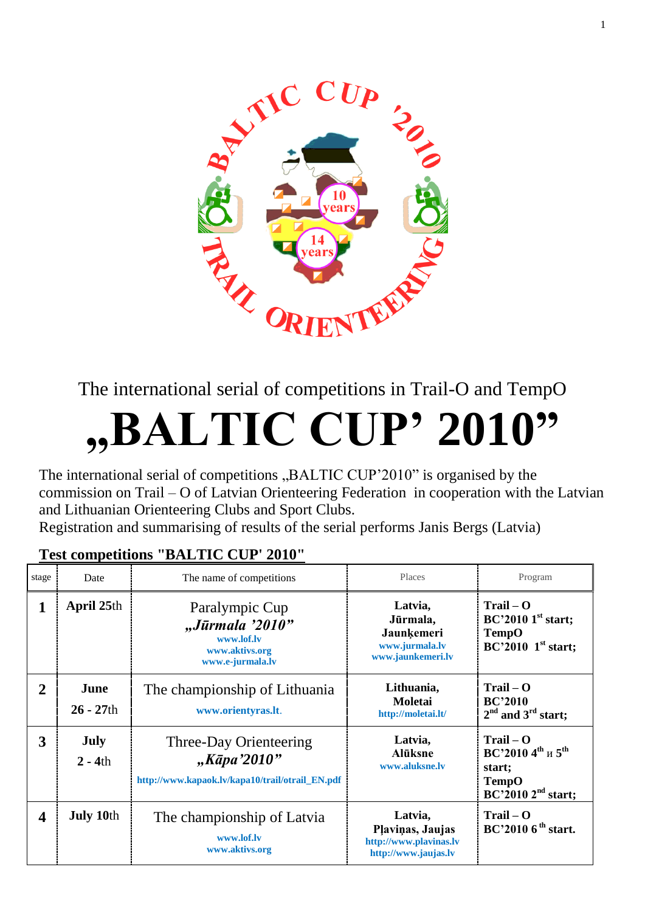

The international serial of competitions in Trail-O and TempO

# **"BALTIC CUP' 2010"**

The international serial of competitions "BALTIC CUP'2010" is organised by the commission on Trail – O of Latvian Orienteering Federation in cooperation with the Latvian and Lithuanian Orienteering Clubs and Sport Clubs.

Registration and summarising of results of the serial performs Janis Bergs (Latvia)

| stage                   | Date                     | The name of competitions                                                                 | Places                                                                        | Program                                                                                           |
|-------------------------|--------------------------|------------------------------------------------------------------------------------------|-------------------------------------------------------------------------------|---------------------------------------------------------------------------------------------------|
| 1                       | <b>April 25th</b>        | Paralympic Cup<br>Jūrmala'2010"<br>www.lof.ly<br>www.aktivs.org<br>www.e-jurmala.lv      | Latvia,<br>Jūrmala,<br>Jaunkemeri<br>www.jurmala.lv<br>www.jaunkemeri.lv      | $Train - O$<br>BC'20101 <sup>st</sup> start;<br><b>TempO</b><br>$BC'2010$ 1 <sup>st</sup> start;  |
| 2                       | June<br>$26 - 27$ th     | The championship of Lithuania<br>www.orientyras.lt.                                      | Lithuania,<br>Moletai<br>http://moletai.lt/                                   | $Train - O$<br>BC'2010<br>$2nd$ and $3rd$ start;                                                  |
| 3                       | <b>July</b><br>$2 - 4th$ | Three-Day Orienteering<br>"Kāpa'2010"<br>http://www.kapaok.lv/kapa10/trail/otrail_EN.pdf | Latvia,<br><b>Alūksne</b><br>www.aluksne.lv                                   | $Train - O$<br>$BC'20104th$ $_{H}5th$<br>start;<br><b>TempO</b><br>BC'2010 2 <sup>nd</sup> start; |
| $\overline{\mathbf{4}}$ | <b>July 10th</b>         | The championship of Latvia<br>www.lof.lv<br>www.aktivs.org                               | Latvia,<br>Plaviņas, Jaujas<br>http://www.plavinas.lv<br>http://www.jaujas.lv | $Train - O$<br>BC'20106 <sup>th</sup> start.                                                      |

## **Test competitions "BALTIC CUP' 2010"**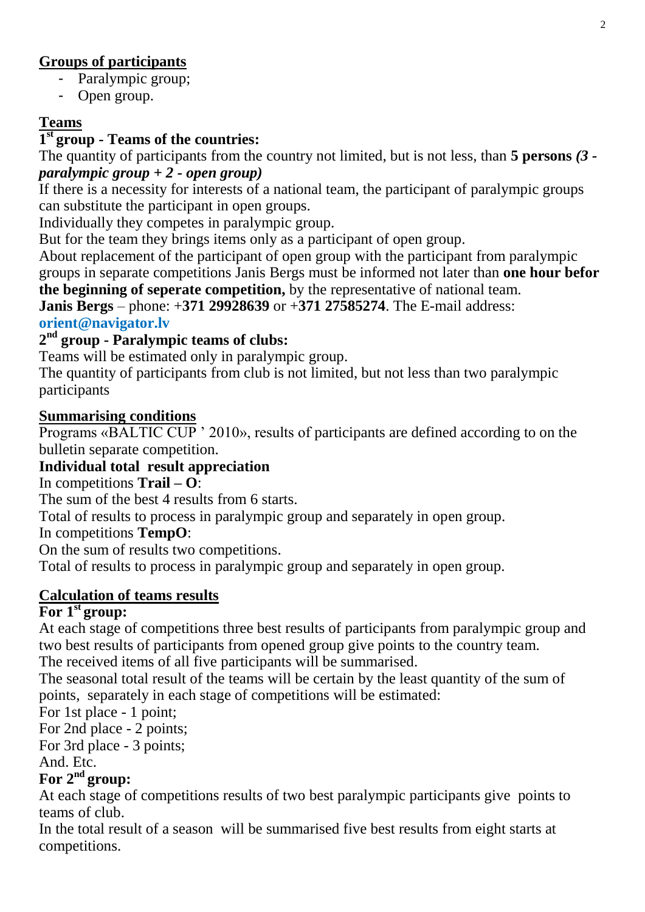# **Groups of participants**

- Paralympic group;
- Open group.

# **Teams**

# **1 st group - Teams of the countries:**

The quantity of participants from the country not limited, but is not less, than **5 persons** *(3 paralympic group + 2 - open group)*

If there is a necessity for interests of a national team, the participant of paralympic groups can substitute the participant in open groups.

Individually they competes in paralympic group.

But for the team they brings items only as a participant of open group.

About replacement of the participant of open group with the participant from paralympic groups in separate competitions Janis Bergs must be informed not later than **one hour befor the beginning of seperate competition,** by the representative of national team.

**Janis Bergs** – phone: +**371 29928639** or +**371 27585274**. The E-mail address:

**orient@navigator.lv**

# **2 nd group - Paralympic teams of clubs:**

Teams will be estimated only in paralympic group.

The quantity of participants from club is not limited, but not less than two paralympic participants

#### **Summarising conditions**

Programs «BALTIC CUP ' 2010», results of participants are defined according to on the bulletin separate competition.

## **Individual total result appreciation**

In competitions **Trail – O**:

The sum of the best 4 results from 6 starts.

Total of results to process in paralympic group and separately in open group.

## In competitions **TempO**:

On the sum of results two competitions.

Total of results to process in paralympic group and separately in open group.

## **Calculation of teams results**

# **For 1st group:**

At each stage of competitions three best results of participants from paralympic group and two best results of participants from opened group give points to the country team. The received items of all five participants will be summarised.

The seasonal total result of the teams will be certain by the least quantity of the sum of points, separately in each stage of competitions will be estimated:

For 1st place - 1 point;

For 2nd place - 2 points;

For 3rd place - 3 points;

And. Etc.

# **For 2 nd group:**

At each stage of competitions results of two best paralympic participants give points to teams of club.

In the total result of a season will be summarised five best results from eight starts at competitions.